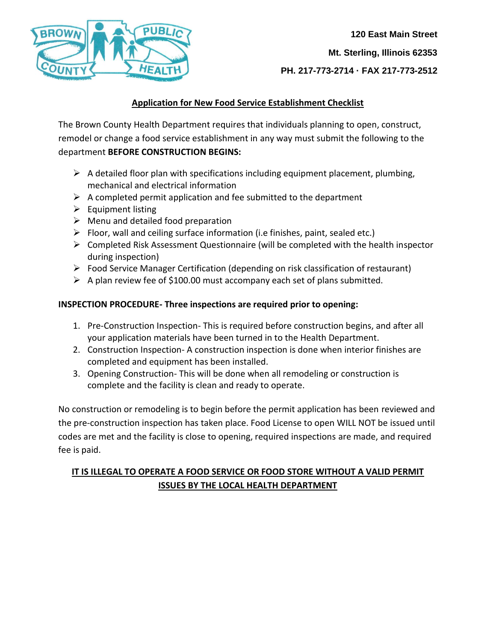

 **120 East Main Street Mt. Sterling, Illinois 62353 PH. 217-773-2714 · FAX 217-773-2512**

# **Application for New Food Service Establishment Checklist**

The Brown County Health Department requires that individuals planning to open, construct, remodel or change a food service establishment in any way must submit the following to the department **BEFORE CONSTRUCTION BEGINS:**

- $\triangleright$  A detailed floor plan with specifications including equipment placement, plumbing, mechanical and electrical information
- $\triangleright$  A completed permit application and fee submitted to the department
- $\triangleright$  Equipment listing
- $\triangleright$  Menu and detailed food preparation
- $\triangleright$  Floor, wall and ceiling surface information (i.e finishes, paint, sealed etc.)
- $\triangleright$  Completed Risk Assessment Questionnaire (will be completed with the health inspector during inspection)
- $\triangleright$  Food Service Manager Certification (depending on risk classification of restaurant)
- $\triangleright$  A plan review fee of \$100.00 must accompany each set of plans submitted.

# **INSPECTION PROCEDURE- Three inspections are required prior to opening:**

- 1. Pre-Construction Inspection- This is required before construction begins, and after all your application materials have been turned in to the Health Department.
- 2. Construction Inspection- A construction inspection is done when interior finishes are completed and equipment has been installed.
- 3. Opening Construction- This will be done when all remodeling or construction is complete and the facility is clean and ready to operate.

No construction or remodeling is to begin before the permit application has been reviewed and the pre-construction inspection has taken place. Food License to open WILL NOT be issued until codes are met and the facility is close to opening, required inspections are made, and required fee is paid.

# **IT IS ILLEGAL TO OPERATE A FOOD SERVICE OR FOOD STORE WITHOUT A VALID PERMIT ISSUES BY THE LOCAL HEALTH DEPARTMENT**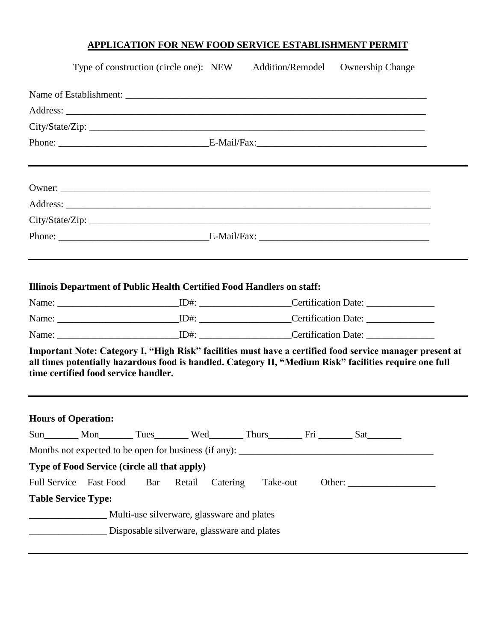# **APPLICATION FOR NEW FOOD SERVICE ESTABLISHMENT PERMIT**

|                                                      |                                            | Type of construction (circle one): NEW Addition/Remodel<br><b>Ownership Change</b>                                                                                                                                  |  |  |  |  |
|------------------------------------------------------|--------------------------------------------|---------------------------------------------------------------------------------------------------------------------------------------------------------------------------------------------------------------------|--|--|--|--|
|                                                      |                                            |                                                                                                                                                                                                                     |  |  |  |  |
|                                                      |                                            |                                                                                                                                                                                                                     |  |  |  |  |
|                                                      |                                            | City/State/Zip:                                                                                                                                                                                                     |  |  |  |  |
|                                                      |                                            |                                                                                                                                                                                                                     |  |  |  |  |
|                                                      |                                            |                                                                                                                                                                                                                     |  |  |  |  |
|                                                      |                                            |                                                                                                                                                                                                                     |  |  |  |  |
|                                                      |                                            |                                                                                                                                                                                                                     |  |  |  |  |
|                                                      |                                            |                                                                                                                                                                                                                     |  |  |  |  |
|                                                      |                                            |                                                                                                                                                                                                                     |  |  |  |  |
| time certified food service handler.                 |                                            | Important Note: Category I, "High Risk" facilities must have a certified food service manager present at<br>all times potentially hazardous food is handled. Category II, "Medium Risk" facilities require one full |  |  |  |  |
| <b>Hours of Operation:</b>                           |                                            |                                                                                                                                                                                                                     |  |  |  |  |
|                                                      |                                            | Sun________ Mon_________ Tues_________ Wed________ Thurs_________ Fri ________ Sat_________                                                                                                                         |  |  |  |  |
|                                                      |                                            |                                                                                                                                                                                                                     |  |  |  |  |
| Type of Food Service (circle all that apply)         |                                            |                                                                                                                                                                                                                     |  |  |  |  |
|                                                      | Bar<br>Retail                              | Catering Take-out                                                                                                                                                                                                   |  |  |  |  |
| Full Service Fast Food<br><b>Table Service Type:</b> |                                            |                                                                                                                                                                                                                     |  |  |  |  |
|                                                      | Multi-use silverware, glassware and plates |                                                                                                                                                                                                                     |  |  |  |  |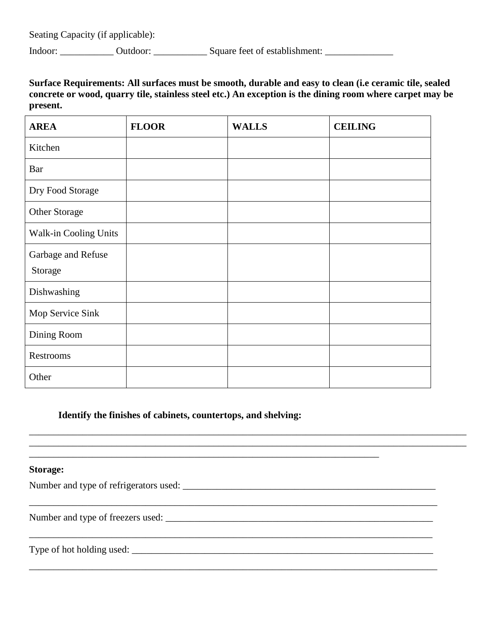Seating Capacity (if applicable):

Indoor: \_\_\_\_\_\_\_\_\_\_\_\_ Outdoor: \_\_\_\_\_\_\_\_\_\_\_\_\_\_ Square feet of establishment: \_\_\_\_\_\_\_\_\_\_\_\_\_\_\_\_\_\_\_\_\_\_\_\_

## **Surface Requirements: All surfaces must be smooth, durable and easy to clean (i.e ceramic tile, sealed concrete or wood, quarry tile, stainless steel etc.) An exception is the dining room where carpet may be present.**

| <b>AREA</b>           | <b>FLOOR</b> | <b>WALLS</b> | <b>CEILING</b> |
|-----------------------|--------------|--------------|----------------|
| Kitchen               |              |              |                |
| Bar                   |              |              |                |
| Dry Food Storage      |              |              |                |
| Other Storage         |              |              |                |
| Walk-in Cooling Units |              |              |                |
| Garbage and Refuse    |              |              |                |
| Storage               |              |              |                |
| Dishwashing           |              |              |                |
| Mop Service Sink      |              |              |                |
| Dining Room           |              |              |                |
| Restrooms             |              |              |                |
| Other                 |              |              |                |

\_\_\_\_\_\_\_\_\_\_\_\_\_\_\_\_\_\_\_\_\_\_\_\_\_\_\_\_\_\_\_\_\_\_\_\_\_\_\_\_\_\_\_\_\_\_\_\_\_\_\_\_\_\_\_\_\_\_\_\_\_\_\_\_\_\_\_\_\_\_\_\_\_\_\_\_\_\_\_\_\_\_\_\_\_\_\_\_\_\_ \_\_\_\_\_\_\_\_\_\_\_\_\_\_\_\_\_\_\_\_\_\_\_\_\_\_\_\_\_\_\_\_\_\_\_\_\_\_\_\_\_\_\_\_\_\_\_\_\_\_\_\_\_\_\_\_\_\_\_\_\_\_\_\_\_\_\_\_\_\_\_\_\_\_\_\_\_\_\_\_\_\_\_\_\_\_\_\_\_\_

\_\_\_\_\_\_\_\_\_\_\_\_\_\_\_\_\_\_\_\_\_\_\_\_\_\_\_\_\_\_\_\_\_\_\_\_\_\_\_\_\_\_\_\_\_\_\_\_\_\_\_\_\_\_\_\_\_\_\_\_\_\_\_\_\_\_\_\_\_\_\_\_\_\_\_\_\_\_\_\_\_\_\_\_

\_\_\_\_\_\_\_\_\_\_\_\_\_\_\_\_\_\_\_\_\_\_\_\_\_\_\_\_\_\_\_\_\_\_\_\_\_\_\_\_\_\_\_\_\_\_\_\_\_\_\_\_\_\_\_\_\_\_\_\_\_\_\_\_\_\_\_\_\_\_\_\_\_\_\_\_\_\_\_\_\_\_\_

\_\_\_\_\_\_\_\_\_\_\_\_\_\_\_\_\_\_\_\_\_\_\_\_\_\_\_\_\_\_\_\_\_\_\_\_\_\_\_\_\_\_\_\_\_\_\_\_\_\_\_\_\_\_\_\_\_\_\_\_\_\_\_\_\_\_\_\_\_\_\_\_\_\_\_\_\_\_\_\_\_\_\_\_

#### **Identify the finishes of cabinets, countertops, and shelving:**

\_\_\_\_\_\_\_\_\_\_\_\_\_\_\_\_\_\_\_\_\_\_\_\_\_\_\_\_\_\_\_\_\_\_\_\_\_\_\_\_\_\_\_\_\_\_\_\_\_\_\_\_\_\_\_\_\_\_\_\_\_\_\_\_\_\_\_\_\_\_\_\_

#### **Storage:**

Number and type of refrigerators used: \_\_\_\_\_\_\_\_\_\_\_\_\_\_\_\_\_\_\_\_\_\_\_\_\_\_\_\_\_\_\_\_\_\_\_\_\_\_\_\_\_\_\_\_\_\_\_\_\_\_\_\_

Number and type of freezers used:

Type of hot holding used: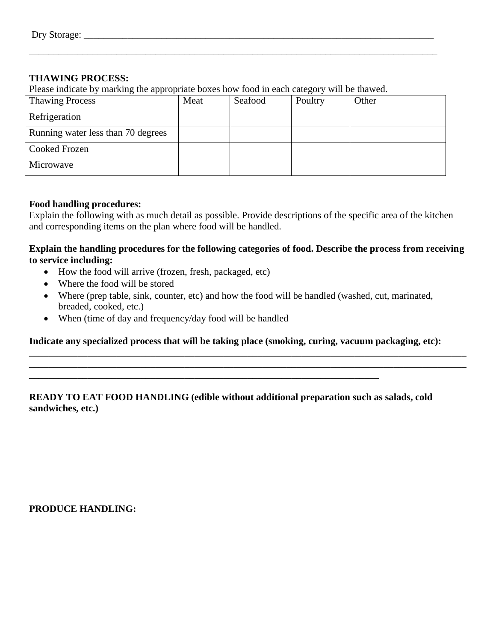### **THAWING PROCESS:**

Please indicate by marking the appropriate boxes how food in each category will be thawed.

| <b>Thawing Process</b>             | Meat | Seafood | Poultry | Other |
|------------------------------------|------|---------|---------|-------|
| Refrigeration                      |      |         |         |       |
| Running water less than 70 degrees |      |         |         |       |
| Cooked Frozen                      |      |         |         |       |
| Microwave                          |      |         |         |       |

\_\_\_\_\_\_\_\_\_\_\_\_\_\_\_\_\_\_\_\_\_\_\_\_\_\_\_\_\_\_\_\_\_\_\_\_\_\_\_\_\_\_\_\_\_\_\_\_\_\_\_\_\_\_\_\_\_\_\_\_\_\_\_\_\_\_\_\_\_\_\_\_\_\_\_\_\_\_\_\_\_\_\_\_

#### **Food handling procedures:**

Explain the following with as much detail as possible. Provide descriptions of the specific area of the kitchen and corresponding items on the plan where food will be handled.

### **Explain the handling procedures for the following categories of food. Describe the process from receiving to service including:**

- How the food will arrive (frozen, fresh, packaged, etc)
- Where the food will be stored
- Where (prep table, sink, counter, etc) and how the food will be handled (washed, cut, marinated, breaded, cooked, etc.)
- When (time of day and frequency/day food will be handled

**Indicate any specialized process that will be taking place (smoking, curing, vacuum packaging, etc):**

\_\_\_\_\_\_\_\_\_\_\_\_\_\_\_\_\_\_\_\_\_\_\_\_\_\_\_\_\_\_\_\_\_\_\_\_\_\_\_\_\_\_\_\_\_\_\_\_\_\_\_\_\_\_\_\_\_\_\_\_\_\_\_\_\_\_\_\_\_\_\_\_\_\_\_\_\_\_\_\_\_\_\_\_\_\_\_\_\_\_ \_\_\_\_\_\_\_\_\_\_\_\_\_\_\_\_\_\_\_\_\_\_\_\_\_\_\_\_\_\_\_\_\_\_\_\_\_\_\_\_\_\_\_\_\_\_\_\_\_\_\_\_\_\_\_\_\_\_\_\_\_\_\_\_\_\_\_\_\_\_\_\_\_\_\_\_\_\_\_\_\_\_\_\_\_\_\_\_\_\_

## **READY TO EAT FOOD HANDLING (edible without additional preparation such as salads, cold sandwiches, etc.)**

\_\_\_\_\_\_\_\_\_\_\_\_\_\_\_\_\_\_\_\_\_\_\_\_\_\_\_\_\_\_\_\_\_\_\_\_\_\_\_\_\_\_\_\_\_\_\_\_\_\_\_\_\_\_\_\_\_\_\_\_\_\_\_\_\_\_\_\_\_\_\_\_

**PRODUCE HANDLING:**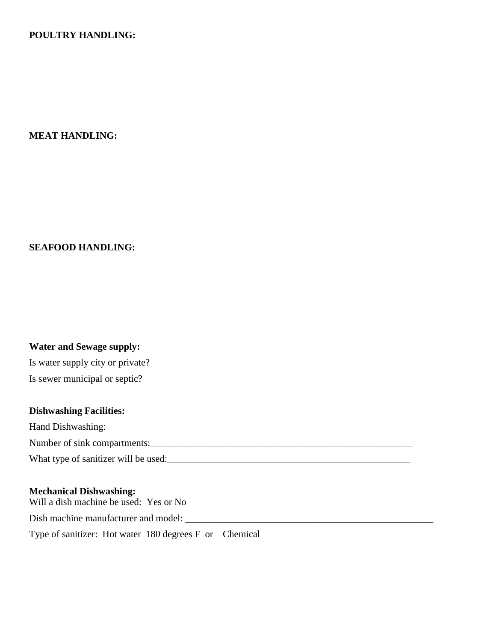### **POULTRY HANDLING:**

#### **MEAT HANDLING:**

#### **SEAFOOD HANDLING:**

#### **Water and Sewage supply:**

Is water supply city or private? Is sewer municipal or septic?

### **Dishwashing Facilities:**

Hand Dishwashing:

Number of sink compartments:\_\_\_\_\_\_\_\_\_\_\_\_\_\_\_\_\_\_\_\_\_\_\_\_\_\_\_\_\_\_\_\_\_\_\_\_\_\_\_\_\_\_\_\_\_\_\_\_\_\_\_\_\_\_

What type of sanitizer will be used:\_\_\_\_\_\_\_\_\_\_\_\_\_\_\_\_\_\_\_\_\_\_\_\_\_\_\_\_\_\_\_\_\_\_\_\_\_\_\_\_\_\_\_\_\_\_\_\_\_\_

#### **Mechanical Dishwashing:**

Will a dish machine be used: Yes or No Dish machine manufacturer and model: \_\_\_\_\_\_\_\_\_\_\_\_\_\_\_\_\_\_\_\_\_\_\_\_\_\_\_\_\_\_\_\_\_\_\_\_\_\_\_\_\_\_\_\_\_\_\_\_\_\_\_

Type of sanitizer: Hot water 180 degrees F or Chemical